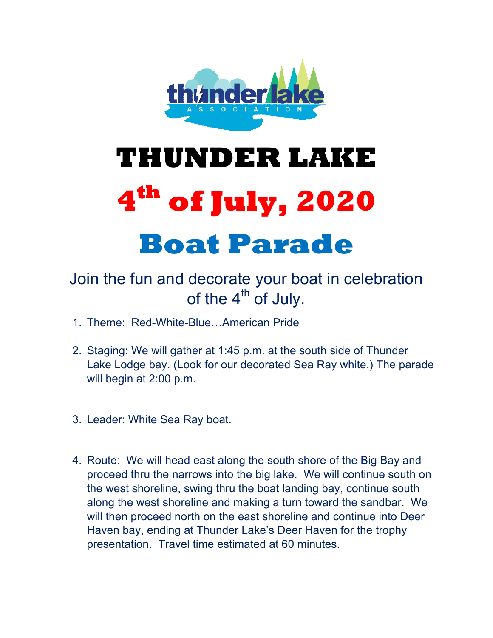

## **THUNDER LAKE 4th of July, 2020 Boat Parade**

## Join the fun and decorate your boat in celebration of the  $4<sup>th</sup>$  of July.

- 1. Theme: Red-White-Blue…American Pride
- 2. Staging: We will gather at 1:45 p.m. at the south side of Thunder Lake Lodge bay. (Look for our decorated Sea Ray white.) The parade will begin at 2:00 p.m.
- 3. Leader: White Sea Ray boat.
- 4. Route: We will head east along the south shore of the Big Bay and proceed thru the narrows into the big lake. We will continue south on the west shoreline, swing thru the boat landing bay, continue south along the west shoreline and making a turn toward the sandbar. We will then proceed north on the east shoreline and continue into Deer Haven bay, ending at Thunder Lake's Deer Haven for the trophy presentation. Travel time estimated at 60 minutes.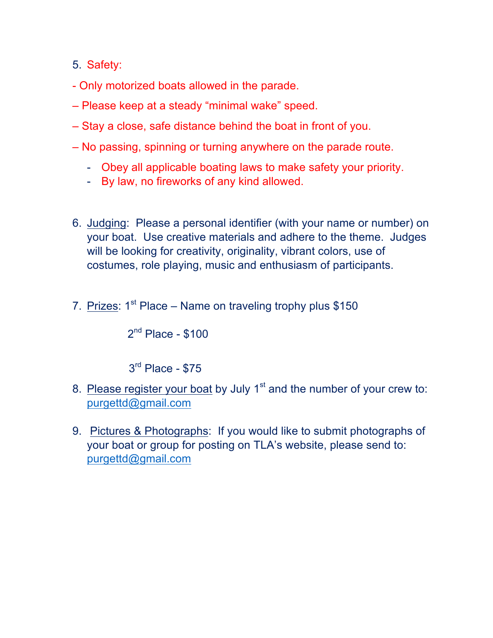- 5. Safety:
- Only motorized boats allowed in the parade.
- Please keep at a steady "minimal wake" speed.
- Stay a close, safe distance behind the boat in front of you.
- No passing, spinning or turning anywhere on the parade route.
	- Obey all applicable boating laws to make safety your priority.
	- By law, no fireworks of any kind allowed.
- 6. Judging: Please a personal identifier (with your name or number) on your boat. Use creative materials and adhere to the theme. Judges will be looking for creativity, originality, vibrant colors, use of costumes, role playing, music and enthusiasm of participants.
- 7. Prizes:  $1^{st}$  Place Name on traveling trophy plus \$150

 $2<sup>nd</sup>$  Place - \$100

3rd Place - \$75

- 8. Please register your boat by July 1<sup>st</sup> and the number of your crew to: purgettd@gmail.com
- 9. Pictures & Photographs: If you would like to submit photographs of your boat or group for posting on TLA's website, please send to: purgettd@gmail.com